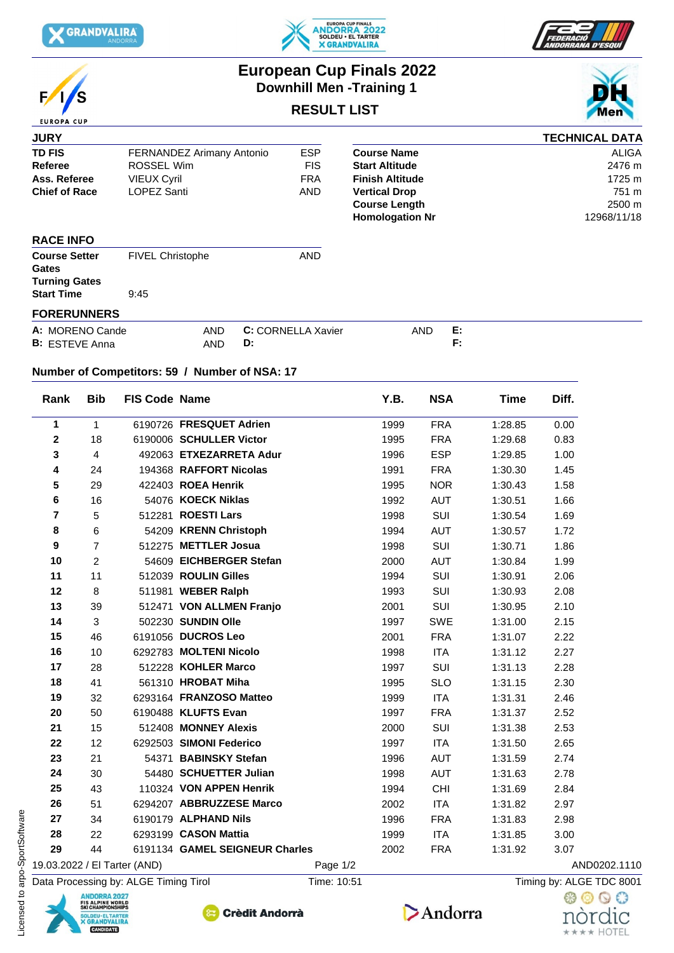

 $\sqrt{2}$ 

**EUROPA CUP** 





## **European Cup Finals 2022 Downhill Men -Training 1**

## **RESULT LIST**

| <b>JURY</b>                          |                           |                    |                        |    | <b>TECHNICAL DATA</b> |
|--------------------------------------|---------------------------|--------------------|------------------------|----|-----------------------|
| <b>TD FIS</b>                        | FERNANDEZ Arimany Antonio | <b>ESP</b>         | <b>Course Name</b>     |    | ALIGA                 |
| Referee                              | ROSSEL Wim                | <b>FIS</b>         | <b>Start Altitude</b>  |    | 2476 m                |
| Ass. Referee                         | <b>VIEUX Cyril</b>        | <b>FRA</b>         | <b>Finish Altitude</b> |    | 1725 m                |
| <b>Chief of Race</b>                 | LOPEZ Santi               | AND                | <b>Vertical Drop</b>   |    | 751 m                 |
|                                      |                           |                    | <b>Course Length</b>   |    | 2500 m                |
|                                      |                           |                    | <b>Homologation Nr</b> |    | 12968/11/18           |
| <b>RACE INFO</b>                     |                           |                    |                        |    |                       |
| <b>Course Setter</b>                 | FIVEL Christophe          | <b>AND</b>         |                        |    |                       |
| <b>Gates</b><br><b>Turning Gates</b> |                           |                    |                        |    |                       |
| <b>Start Time</b>                    | 9:45                      |                    |                        |    |                       |
| <b>FORERUNNERS</b>                   |                           |                    |                        |    |                       |
| A: MORENO Cande                      | <b>AND</b>                | C: CORNELLA Xavier | AND                    | E: |                       |
| <b>B:</b> ESTEVE Anna                | <b>AND</b>                | D:                 |                        | F: |                       |

## **Number of Competitors: 59 / Number of NSA: 17**

| Rank                         | <b>Bib</b>     | <b>FIS Code Name</b> |                                | Y.B.       | <b>NSA</b> | <b>Time</b> | Diff.        |  |
|------------------------------|----------------|----------------------|--------------------------------|------------|------------|-------------|--------------|--|
| 1                            | $\mathbf{1}$   |                      | 6190726 FRESQUET Adrien        | 1999       | <b>FRA</b> | 1:28.85     | 0.00         |  |
| $\mathbf 2$                  | 18             |                      | 6190006 SCHULLER Victor        | 1995       | <b>FRA</b> | 1:29.68     | 0.83         |  |
| 3                            | 4              |                      | 492063 ETXEZARRETA Adur        | 1996       | <b>ESP</b> | 1:29.85     | 1.00         |  |
| 4                            | 24             |                      | 194368 RAFFORT Nicolas         | 1991       | <b>FRA</b> | 1:30.30     | 1.45         |  |
| 5                            | 29             |                      | 422403 ROEA Henrik             | 1995       | <b>NOR</b> | 1:30.43     | 1.58         |  |
| 6                            | 16             |                      | 54076 KOECK Niklas             | 1992       | AUT        | 1:30.51     | 1.66         |  |
| $\overline{7}$               | 5              |                      | 512281 ROESTI Lars             | 1998       | SUI        | 1:30.54     | 1.69         |  |
| 8                            | 6              |                      | 54209 KRENN Christoph          | 1994       | <b>AUT</b> | 1:30.57     | 1.72         |  |
| 9                            | $\overline{7}$ |                      | 512275 METTLER Josua           | 1998       | SUI        | 1:30.71     | 1.86         |  |
| 10                           | 2              |                      | 54609 EICHBERGER Stefan        | 2000       | AUT        | 1:30.84     | 1.99         |  |
| 11                           | 11             |                      | 512039 ROULIN Gilles           | 1994       | SUI        | 1:30.91     | 2.06         |  |
| 12                           | 8              |                      | 511981 WEBER Ralph             | 1993       | SUI        | 1:30.93     | 2.08         |  |
| 13                           | 39             |                      | 512471 VON ALLMEN Franjo       | 2001       | SUI        | 1:30.95     | 2.10         |  |
| 14                           | 3              |                      | 502230 SUNDIN Olle             | 1997       | <b>SWE</b> | 1:31.00     | 2.15         |  |
| 15                           | 46             |                      | 6191056 DUCROS Leo             | 2001       | <b>FRA</b> | 1:31.07     | 2.22         |  |
| 16                           | 10             |                      | 6292783 MOLTENI Nicolo         | 1998       | <b>ITA</b> | 1:31.12     | 2.27         |  |
| 17                           | 28             |                      | 512228 KOHLER Marco            | 1997       | SUI        | 1:31.13     | 2.28         |  |
| 18                           | 41             |                      | 561310 HROBAT Miha             | 1995       | <b>SLO</b> | 1:31.15     | 2.30         |  |
| 19                           | 32             |                      | 6293164 FRANZOSO Matteo        | 1999       | <b>ITA</b> | 1:31.31     | 2.46         |  |
| 20                           | 50             |                      | 6190488 KLUFTS Evan            | 1997       | <b>FRA</b> | 1:31.37     | 2.52         |  |
| 21                           | 15             |                      | 512408 MONNEY Alexis           | 2000       | SUI        | 1:31.38     | 2.53         |  |
| 22                           | 12             |                      | 6292503 SIMONI Federico        | 1997       | <b>ITA</b> | 1:31.50     | 2.65         |  |
| 23                           | 21             |                      | 54371 BABINSKY Stefan          | 1996       | AUT        | 1:31.59     | 2.74         |  |
| 24                           | 30             |                      | 54480 SCHUETTER Julian         | 1998       | <b>AUT</b> | 1:31.63     | 2.78         |  |
| 25                           | 43             |                      | 110324 VON APPEN Henrik        | 1994       | <b>CHI</b> | 1:31.69     | 2.84         |  |
| 26                           | 51             |                      | 6294207 ABBRUZZESE Marco       | 2002       | <b>ITA</b> | 1:31.82     | 2.97         |  |
| 27                           | 34             |                      | 6190179 ALPHAND Nils           | 1996       | <b>FRA</b> | 1:31.83     | 2.98         |  |
| 28                           | 22             |                      | 6293199 CASON Mattia           | 1999       | <b>ITA</b> | 1:31.85     | 3.00         |  |
| 29                           | 44             |                      | 6191134 GAMEL SEIGNEUR Charles | 2002       | <b>FRA</b> | 1:31.92     | 3.07         |  |
| 19.03.2022 / El Tarter (AND) |                |                      |                                | Page $1/2$ |            |             | AND0202.1110 |  |



NDORRA 2

**EIS ALPINE WORLD<br>SKI CHAMPIONSHIPS** 

CANDIDATE

LDEU <mark>- EL TARTER</mark><br>GRANDVALIRA